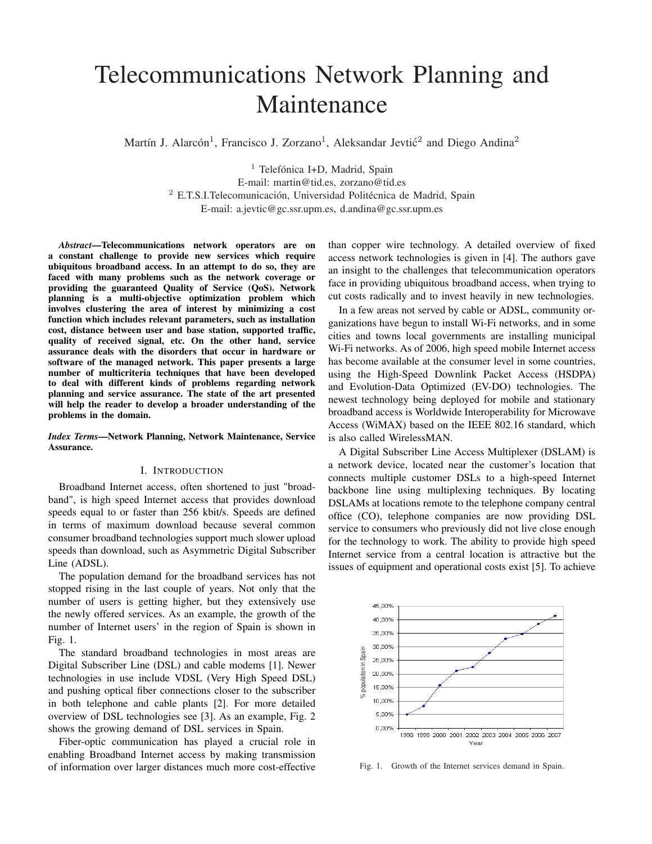# Telecommunications Network Planning and Maintenance

Martín J. Alarcón<sup>1</sup>, Francisco J. Zorzano<sup>1</sup>, Aleksandar Jevtić<sup>2</sup> and Diego Andina<sup>2</sup>

<sup>1</sup> Telefónica I+D, Madrid, Spain E-mail: martin@tid.es, zorzano@tid.es <sup>2</sup> E.T.S.I.Telecomunicación, Universidad Politécnica de Madrid, Spain E-mail: a.jevtic@gc.ssr.upm.es, d.andina@gc.ssr.upm.es

*Abstract*—Telecommunications network operators are on a constant challenge to provide new services which require ubiquitous broadband access. In an attempt to do so, they are faced with many problems such as the network coverage or providing the guaranteed Quality of Service (QoS). Network planning is a multi-objective optimization problem which involves clustering the area of interest by minimizing a cost function which includes relevant parameters, such as installation cost, distance between user and base station, supported traffic, quality of received signal, etc. On the other hand, service assurance deals with the disorders that occur in hardware or software of the managed network. This paper presents a large number of multicriteria techniques that have been developed to deal with different kinds of problems regarding network planning and service assurance. The state of the art presented will help the reader to develop a broader understanding of the problems in the domain.

#### *Index Terms*—Network Planning, Network Maintenance, Service Assurance.

# I. INTRODUCTION

Broadband Internet access, often shortened to just "broadband", is high speed Internet access that provides download speeds equal to or faster than 256 kbit/s. Speeds are defined in terms of maximum download because several common consumer broadband technologies support much slower upload speeds than download, such as Asymmetric Digital Subscriber Line (ADSL).

The population demand for the broadband services has not stopped rising in the last couple of years. Not only that the number of users is getting higher, but they extensively use the newly offered services. As an example, the growth of the number of Internet users' in the region of Spain is shown in Fig. 1.

The standard broadband technologies in most areas are Digital Subscriber Line (DSL) and cable modems [1]. Newer technologies in use include VDSL (Very High Speed DSL) and pushing optical fiber connections closer to the subscriber in both telephone and cable plants [2]. For more detailed overview of DSL technologies see [3]. As an example, Fig. 2 shows the growing demand of DSL services in Spain.

Fiber-optic communication has played a crucial role in enabling Broadband Internet access by making transmission of information over larger distances much more cost-effective than copper wire technology. A detailed overview of fixed access network technologies is given in [4]. The authors gave an insight to the challenges that telecommunication operators face in providing ubiquitous broadband access, when trying to cut costs radically and to invest heavily in new technologies.

In a few areas not served by cable or ADSL, community organizations have begun to install Wi-Fi networks, and in some cities and towns local governments are installing municipal Wi-Fi networks. As of 2006, high speed mobile Internet access has become available at the consumer level in some countries, using the High-Speed Downlink Packet Access (HSDPA) and Evolution-Data Optimized (EV-DO) technologies. The newest technology being deployed for mobile and stationary broadband access is Worldwide Interoperability for Microwave Access (WiMAX) based on the IEEE 802.16 standard, which is also called WirelessMAN.

A Digital Subscriber Line Access Multiplexer (DSLAM) is a network device, located near the customer's location that connects multiple customer DSLs to a high-speed Internet backbone line using multiplexing techniques. By locating DSLAMs at locations remote to the telephone company central office (CO), telephone companies are now providing DSL service to consumers who previously did not live close enough for the technology to work. The ability to provide high speed Internet service from a central location is attractive but the issues of equipment and operational costs exist [5]. To achieve



Fig. 1. Growth of the Internet services demand in Spain.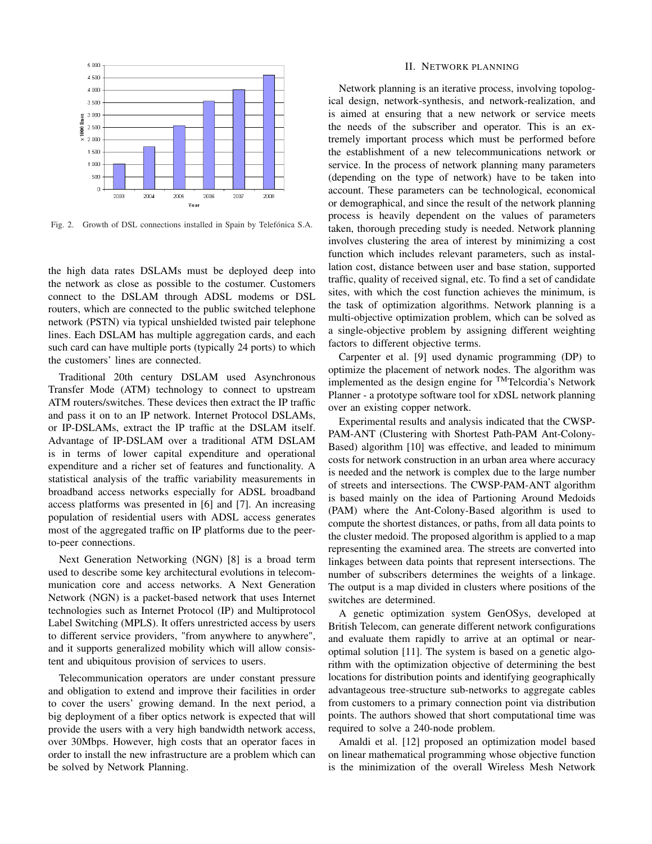

Fig. 2. Growth of DSL connections installed in Spain by Telefónica S.A.

the high data rates DSLAMs must be deployed deep into the network as close as possible to the costumer. Customers connect to the DSLAM through ADSL modems or DSL routers, which are connected to the public switched telephone network (PSTN) via typical unshielded twisted pair telephone lines. Each DSLAM has multiple aggregation cards, and each such card can have multiple ports (typically 24 ports) to which the customers' lines are connected.

Traditional 20th century DSLAM used Asynchronous Transfer Mode (ATM) technology to connect to upstream ATM routers/switches. These devices then extract the IP traffic and pass it on to an IP network. Internet Protocol DSLAMs, or IP-DSLAMs, extract the IP traffic at the DSLAM itself. Advantage of IP-DSLAM over a traditional ATM DSLAM is in terms of lower capital expenditure and operational expenditure and a richer set of features and functionality. A statistical analysis of the traffic variability measurements in broadband access networks especially for ADSL broadband access platforms was presented in [6] and [7]. An increasing population of residential users with ADSL access generates most of the aggregated traffic on IP platforms due to the peerto-peer connections.

Next Generation Networking (NGN) [8] is a broad term used to describe some key architectural evolutions in telecommunication core and access networks. A Next Generation Network (NGN) is a packet-based network that uses Internet technologies such as Internet Protocol (IP) and Multiprotocol Label Switching (MPLS). It offers unrestricted access by users to different service providers, "from anywhere to anywhere", and it supports generalized mobility which will allow consistent and ubiquitous provision of services to users.

Telecommunication operators are under constant pressure and obligation to extend and improve their facilities in order to cover the users' growing demand. In the next period, a big deployment of a fiber optics network is expected that will provide the users with a very high bandwidth network access, over 30Mbps. However, high costs that an operator faces in order to install the new infrastructure are a problem which can be solved by Network Planning.

#### II. NETWORK PLANNING

Network planning is an iterative process, involving topological design, network-synthesis, and network-realization, and is aimed at ensuring that a new network or service meets the needs of the subscriber and operator. This is an extremely important process which must be performed before the establishment of a new telecommunications network or service. In the process of network planning many parameters (depending on the type of network) have to be taken into account. These parameters can be technological, economical or demographical, and since the result of the network planning process is heavily dependent on the values of parameters taken, thorough preceding study is needed. Network planning involves clustering the area of interest by minimizing a cost function which includes relevant parameters, such as installation cost, distance between user and base station, supported traffic, quality of received signal, etc. To find a set of candidate sites, with which the cost function achieves the minimum, is the task of optimization algorithms. Network planning is a multi-objective optimization problem, which can be solved as a single-objective problem by assigning different weighting factors to different objective terms.

Carpenter et al. [9] used dynamic programming (DP) to optimize the placement of network nodes. The algorithm was implemented as the design engine for TMTelcordia's Network Planner - a prototype software tool for xDSL network planning over an existing copper network.

Experimental results and analysis indicated that the CWSP-PAM-ANT (Clustering with Shortest Path-PAM Ant-Colony-Based) algorithm [10] was effective, and leaded to minimum costs for network construction in an urban area where accuracy is needed and the network is complex due to the large number of streets and intersections. The CWSP-PAM-ANT algorithm is based mainly on the idea of Partioning Around Medoids (PAM) where the Ant-Colony-Based algorithm is used to compute the shortest distances, or paths, from all data points to the cluster medoid. The proposed algorithm is applied to a map representing the examined area. The streets are converted into linkages between data points that represent intersections. The number of subscribers determines the weights of a linkage. The output is a map divided in clusters where positions of the switches are determined.

A genetic optimization system GenOSys, developed at British Telecom, can generate different network configurations and evaluate them rapidly to arrive at an optimal or nearoptimal solution [11]. The system is based on a genetic algorithm with the optimization objective of determining the best locations for distribution points and identifying geographically advantageous tree-structure sub-networks to aggregate cables from customers to a primary connection point via distribution points. The authors showed that short computational time was required to solve a 240-node problem.

Amaldi et al. [12] proposed an optimization model based on linear mathematical programming whose objective function is the minimization of the overall Wireless Mesh Network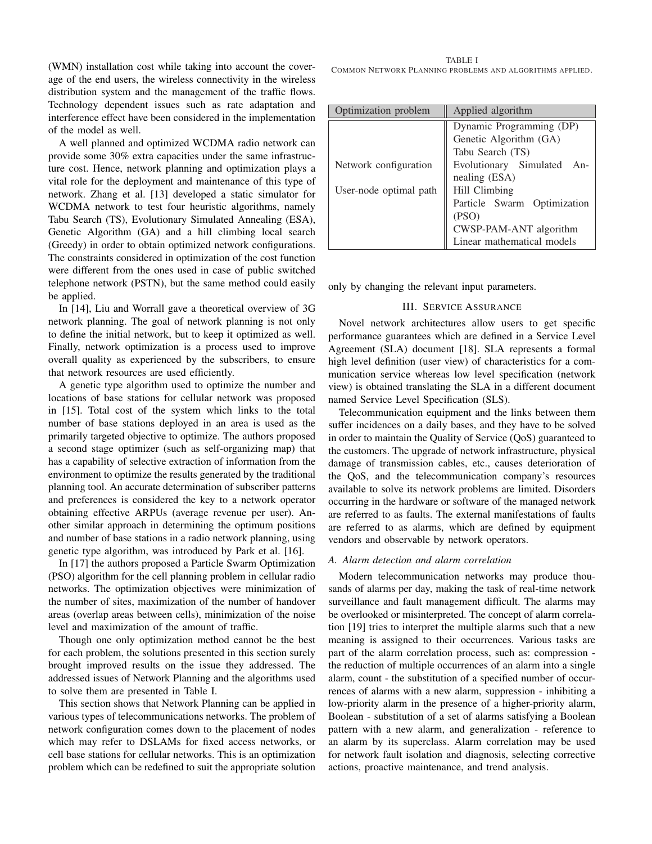(WMN) installation cost while taking into account the coverage of the end users, the wireless connectivity in the wireless distribution system and the management of the traffic flows. Technology dependent issues such as rate adaptation and interference effect have been considered in the implementation of the model as well.

A well planned and optimized WCDMA radio network can provide some 30% extra capacities under the same infrastructure cost. Hence, network planning and optimization plays a vital role for the deployment and maintenance of this type of network. Zhang et al. [13] developed a static simulator for WCDMA network to test four heuristic algorithms, namely Tabu Search (TS), Evolutionary Simulated Annealing (ESA), Genetic Algorithm (GA) and a hill climbing local search (Greedy) in order to obtain optimized network configurations. The constraints considered in optimization of the cost function were different from the ones used in case of public switched telephone network (PSTN), but the same method could easily be applied.

In [14], Liu and Worrall gave a theoretical overview of 3G network planning. The goal of network planning is not only to define the initial network, but to keep it optimized as well. Finally, network optimization is a process used to improve overall quality as experienced by the subscribers, to ensure that network resources are used efficiently.

A genetic type algorithm used to optimize the number and locations of base stations for cellular network was proposed in [15]. Total cost of the system which links to the total number of base stations deployed in an area is used as the primarily targeted objective to optimize. The authors proposed a second stage optimizer (such as self-organizing map) that has a capability of selective extraction of information from the environment to optimize the results generated by the traditional planning tool. An accurate determination of subscriber patterns and preferences is considered the key to a network operator obtaining effective ARPUs (average revenue per user). Another similar approach in determining the optimum positions and number of base stations in a radio network planning, using genetic type algorithm, was introduced by Park et al. [16].

In [17] the authors proposed a Particle Swarm Optimization (PSO) algorithm for the cell planning problem in cellular radio networks. The optimization objectives were minimization of the number of sites, maximization of the number of handover areas (overlap areas between cells), minimization of the noise level and maximization of the amount of traffic.

Though one only optimization method cannot be the best for each problem, the solutions presented in this section surely brought improved results on the issue they addressed. The addressed issues of Network Planning and the algorithms used to solve them are presented in Table I.

This section shows that Network Planning can be applied in various types of telecommunications networks. The problem of network configuration comes down to the placement of nodes which may refer to DSLAMs for fixed access networks, or cell base stations for cellular networks. This is an optimization problem which can be redefined to suit the appropriate solution

TABLE I COMMON NETWORK PLANNING PROBLEMS AND ALGORITHMS APPLIED.

| Optimization problem   | Applied algorithm           |
|------------------------|-----------------------------|
|                        | Dynamic Programming (DP)    |
|                        | Genetic Algorithm (GA)      |
|                        | Tabu Search (TS)            |
| Network configuration  | Evolutionary Simulated An-  |
|                        | nealing (ESA)               |
| User-node optimal path | Hill Climbing               |
|                        | Particle Swarm Optimization |
|                        | (PSO)                       |
|                        | CWSP-PAM-ANT algorithm      |
|                        | Linear mathematical models  |

only by changing the relevant input parameters.

## III. SERVICE ASSURANCE

Novel network architectures allow users to get specific performance guarantees which are defined in a Service Level Agreement (SLA) document [18]. SLA represents a formal high level definition (user view) of characteristics for a communication service whereas low level specification (network view) is obtained translating the SLA in a different document named Service Level Specification (SLS).

Telecommunication equipment and the links between them suffer incidences on a daily bases, and they have to be solved in order to maintain the Quality of Service (QoS) guaranteed to the customers. The upgrade of network infrastructure, physical damage of transmission cables, etc., causes deterioration of the QoS, and the telecommunication company's resources available to solve its network problems are limited. Disorders occurring in the hardware or software of the managed network are referred to as faults. The external manifestations of faults are referred to as alarms, which are defined by equipment vendors and observable by network operators.

## *A. Alarm detection and alarm correlation*

Modern telecommunication networks may produce thousands of alarms per day, making the task of real-time network surveillance and fault management difficult. The alarms may be overlooked or misinterpreted. The concept of alarm correlation [19] tries to interpret the multiple alarms such that a new meaning is assigned to their occurrences. Various tasks are part of the alarm correlation process, such as: compression the reduction of multiple occurrences of an alarm into a single alarm, count - the substitution of a specified number of occurrences of alarms with a new alarm, suppression - inhibiting a low-priority alarm in the presence of a higher-priority alarm, Boolean - substitution of a set of alarms satisfying a Boolean pattern with a new alarm, and generalization - reference to an alarm by its superclass. Alarm correlation may be used for network fault isolation and diagnosis, selecting corrective actions, proactive maintenance, and trend analysis.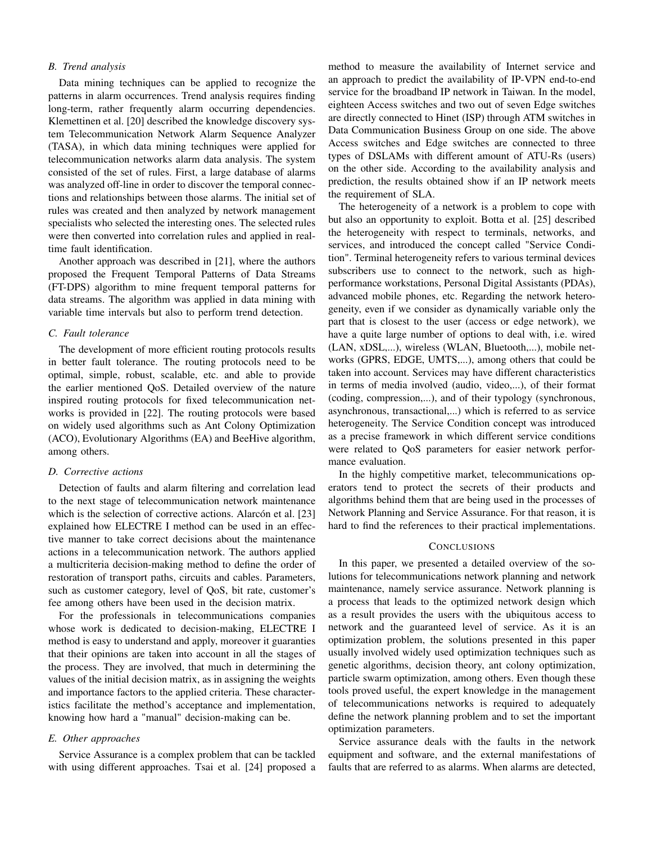## *B. Trend analysis*

Data mining techniques can be applied to recognize the patterns in alarm occurrences. Trend analysis requires finding long-term, rather frequently alarm occurring dependencies. Klemettinen et al. [20] described the knowledge discovery system Telecommunication Network Alarm Sequence Analyzer (TASA), in which data mining techniques were applied for telecommunication networks alarm data analysis. The system consisted of the set of rules. First, a large database of alarms was analyzed off-line in order to discover the temporal connections and relationships between those alarms. The initial set of rules was created and then analyzed by network management specialists who selected the interesting ones. The selected rules were then converted into correlation rules and applied in realtime fault identification.

Another approach was described in [21], where the authors proposed the Frequent Temporal Patterns of Data Streams (FT-DPS) algorithm to mine frequent temporal patterns for data streams. The algorithm was applied in data mining with variable time intervals but also to perform trend detection.

## *C. Fault tolerance*

The development of more efficient routing protocols results in better fault tolerance. The routing protocols need to be optimal, simple, robust, scalable, etc. and able to provide the earlier mentioned QoS. Detailed overview of the nature inspired routing protocols for fixed telecommunication networks is provided in [22]. The routing protocols were based on widely used algorithms such as Ant Colony Optimization (ACO), Evolutionary Algorithms (EA) and BeeHive algorithm, among others.

### *D. Corrective actions*

Detection of faults and alarm filtering and correlation lead to the next stage of telecommunication network maintenance which is the selection of corrective actions. Alarcón et al. [23] explained how ELECTRE I method can be used in an effective manner to take correct decisions about the maintenance actions in a telecommunication network. The authors applied a multicriteria decision-making method to define the order of restoration of transport paths, circuits and cables. Parameters, such as customer category, level of QoS, bit rate, customer's fee among others have been used in the decision matrix.

For the professionals in telecommunications companies whose work is dedicated to decision-making, ELECTRE I method is easy to understand and apply, moreover it guaranties that their opinions are taken into account in all the stages of the process. They are involved, that much in determining the values of the initial decision matrix, as in assigning the weights and importance factors to the applied criteria. These characteristics facilitate the method's acceptance and implementation, knowing how hard a "manual" decision-making can be.

## *E. Other approaches*

Service Assurance is a complex problem that can be tackled with using different approaches. Tsai et al. [24] proposed a

method to measure the availability of Internet service and an approach to predict the availability of IP-VPN end-to-end service for the broadband IP network in Taiwan. In the model, eighteen Access switches and two out of seven Edge switches are directly connected to Hinet (ISP) through ATM switches in Data Communication Business Group on one side. The above Access switches and Edge switches are connected to three types of DSLAMs with different amount of ATU-Rs (users) on the other side. According to the availability analysis and prediction, the results obtained show if an IP network meets the requirement of SLA.

The heterogeneity of a network is a problem to cope with but also an opportunity to exploit. Botta et al. [25] described the heterogeneity with respect to terminals, networks, and services, and introduced the concept called "Service Condition". Terminal heterogeneity refers to various terminal devices subscribers use to connect to the network, such as highperformance workstations, Personal Digital Assistants (PDAs), advanced mobile phones, etc. Regarding the network heterogeneity, even if we consider as dynamically variable only the part that is closest to the user (access or edge network), we have a quite large number of options to deal with, i.e. wired (LAN, xDSL,...), wireless (WLAN, Bluetooth,...), mobile networks (GPRS, EDGE, UMTS,...), among others that could be taken into account. Services may have different characteristics in terms of media involved (audio, video,...), of their format (coding, compression,...), and of their typology (synchronous, asynchronous, transactional,...) which is referred to as service heterogeneity. The Service Condition concept was introduced as a precise framework in which different service conditions were related to QoS parameters for easier network performance evaluation.

In the highly competitive market, telecommunications operators tend to protect the secrets of their products and algorithms behind them that are being used in the processes of Network Planning and Service Assurance. For that reason, it is hard to find the references to their practical implementations.

## **CONCLUSIONS**

In this paper, we presented a detailed overview of the solutions for telecommunications network planning and network maintenance, namely service assurance. Network planning is a process that leads to the optimized network design which as a result provides the users with the ubiquitous access to network and the guaranteed level of service. As it is an optimization problem, the solutions presented in this paper usually involved widely used optimization techniques such as genetic algorithms, decision theory, ant colony optimization, particle swarm optimization, among others. Even though these tools proved useful, the expert knowledge in the management of telecommunications networks is required to adequately define the network planning problem and to set the important optimization parameters.

Service assurance deals with the faults in the network equipment and software, and the external manifestations of faults that are referred to as alarms. When alarms are detected,